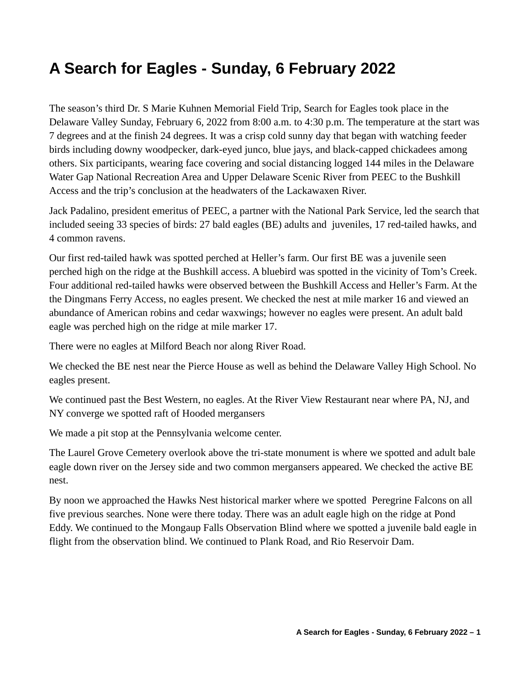# **A Search for Eagles - Sunday, 6 February 2022**

The season's third Dr. S Marie Kuhnen Memorial Field Trip, Search for Eagles took place in the Delaware Valley Sunday, February 6, 2022 from 8:00 a.m. to 4:30 p.m. The temperature at the start was 7 degrees and at the finish 24 degrees. It was a crisp cold sunny day that began with watching feeder birds including downy woodpecker, dark-eyed junco, blue jays, and black-capped chickadees among others. Six participants, wearing face covering and social distancing logged 144 miles in the Delaware Water Gap National Recreation Area and Upper Delaware Scenic River from PEEC to the Bushkill Access and the trip's conclusion at the headwaters of the Lackawaxen River.

Jack Padalino, president emeritus of PEEC, a partner with the National Park Service, led the search that included seeing 33 species of birds: 27 bald eagles (BE) adults and juveniles, 17 red-tailed hawks, and 4 common ravens.

Our first red-tailed hawk was spotted perched at Heller's farm. Our first BE was a juvenile seen perched high on the ridge at the Bushkill access. A bluebird was spotted in the vicinity of Tom's Creek. Four additional red-tailed hawks were observed between the Bushkill Access and Heller's Farm. At the the Dingmans Ferry Access, no eagles present. We checked the nest at mile marker 16 and viewed an abundance of American robins and cedar waxwings; however no eagles were present. An adult bald eagle was perched high on the ridge at mile marker 17.

There were no eagles at Milford Beach nor along River Road.

We checked the BE nest near the Pierce House as well as behind the Delaware Valley High School. No eagles present.

We continued past the Best Western, no eagles. At the River View Restaurant near where PA, NJ, and NY converge we spotted raft of Hooded mergansers

We made a pit stop at the Pennsylvania welcome center.

The Laurel Grove Cemetery overlook above the tri-state monument is where we spotted and adult bale eagle down river on the Jersey side and two common mergansers appeared. We checked the active BE nest.

By noon we approached the Hawks Nest historical marker where we spotted Peregrine Falcons on all five previous searches. None were there today. There was an adult eagle high on the ridge at Pond Eddy. We continued to the Mongaup Falls Observation Blind where we spotted a juvenile bald eagle in flight from the observation blind. We continued to Plank Road, and Rio Reservoir Dam.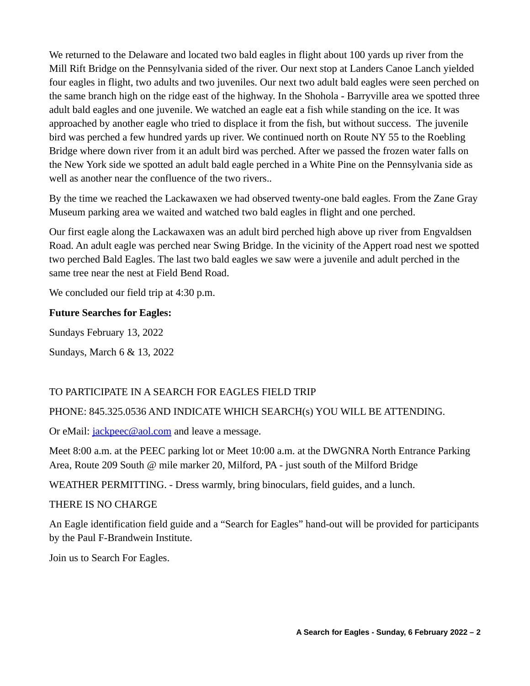We returned to the Delaware and located two bald eagles in flight about 100 yards up river from the Mill Rift Bridge on the Pennsylvania sided of the river. Our next stop at Landers Canoe Lanch yielded four eagles in flight, two adults and two juveniles. Our next two adult bald eagles were seen perched on the same branch high on the ridge east of the highway. In the Shohola - Barryville area we spotted three adult bald eagles and one juvenile. We watched an eagle eat a fish while standing on the ice. It was approached by another eagle who tried to displace it from the fish, but without success. The juvenile bird was perched a few hundred yards up river. We continued north on Route NY 55 to the Roebling Bridge where down river from it an adult bird was perched. After we passed the frozen water falls on the New York side we spotted an adult bald eagle perched in a White Pine on the Pennsylvania side as well as another near the confluence of the two rivers..

By the time we reached the Lackawaxen we had observed twenty-one bald eagles. From the Zane Gray Museum parking area we waited and watched two bald eagles in flight and one perched.

Our first eagle along the Lackawaxen was an adult bird perched high above up river from Engvaldsen Road. An adult eagle was perched near Swing Bridge. In the vicinity of the Appert road nest we spotted two perched Bald Eagles. The last two bald eagles we saw were a juvenile and adult perched in the same tree near the nest at Field Bend Road.

We concluded our field trip at 4:30 p.m.

#### **Future Searches for Eagles:**

Sundays February 13, 2022

Sundays, March 6 & 13, 2022

## TO PARTICIPATE IN A SEARCH FOR EAGLES FIELD TRIP

## PHONE: 845.325.0536 AND INDICATE WHICH SEARCH(s) YOU WILL BE ATTENDING.

Or eMail: *[jackpeec@aol.com](mailto:jackpeec@aol.com)* and leave a message.

Meet 8:00 a.m. at the PEEC parking lot or Meet 10:00 a.m. at the DWGNRA North Entrance Parking Area, Route 209 South @ mile marker 20, Milford, PA - just south of the Milford Bridge

WEATHER PERMITTING. - Dress warmly, bring binoculars, field guides, and a lunch.

#### THERE IS NO CHARGE

An Eagle identification field guide and a "Search for Eagles" hand-out will be provided for participants by the Paul F-Brandwein Institute.

Join us to Search For Eagles.